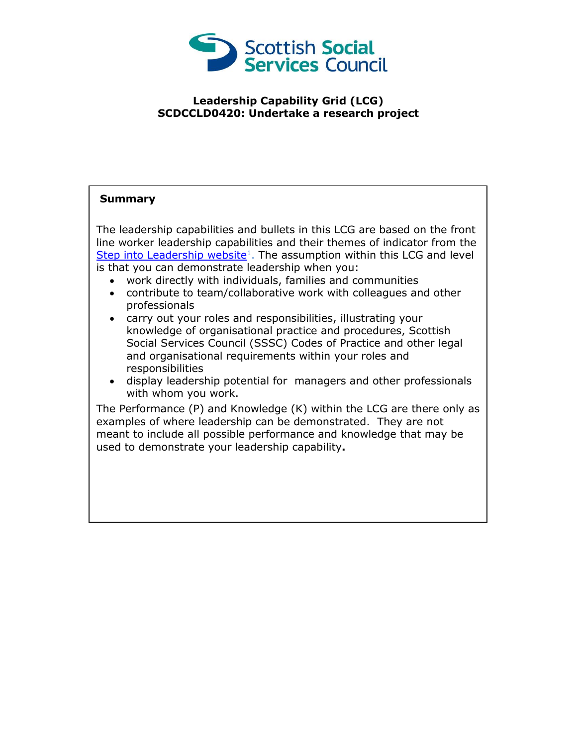

## **Leadership Capability Grid (LCG) SCDCCLD0420: Undertake a research project**

## **Summary**

The leadership capabilities and bullets in this LCG are based on the front line worker leadership capabilities and their themes of indicator from the [Step into Leadership website](http://www.stepintoleadership.info/)<sup>1</sup>. The assumption within this LCG and level is that you can demonstrate leadership when you:

- work directly with individuals, families and communities
- contribute to team/collaborative work with colleagues and other professionals
- carry out your roles and responsibilities, illustrating your knowledge of organisational practice and procedures, Scottish Social Services Council (SSSC) Codes of Practice and other legal and organisational requirements within your roles and responsibilities
- display leadership potential for managers and other professionals with whom you work.

The Performance (P) and Knowledge (K) within the LCG are there only as examples of where leadership can be demonstrated. They are not meant to include all possible performance and knowledge that may be used to demonstrate your leadership capability**.**